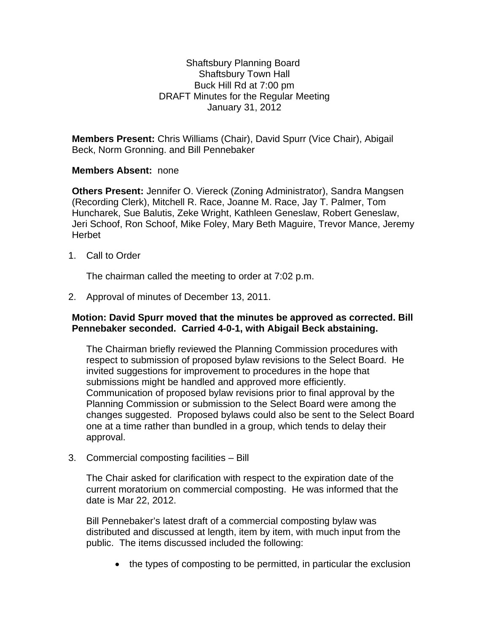## Shaftsbury Planning Board Shaftsbury Town Hall Buck Hill Rd at 7:00 pm DRAFT Minutes for the Regular Meeting January 31, 2012

**Members Present:** Chris Williams (Chair), David Spurr (Vice Chair), Abigail Beck, Norm Gronning. and Bill Pennebaker

## **Members Absent:** none

**Others Present:** Jennifer O. Viereck (Zoning Administrator), Sandra Mangsen (Recording Clerk), Mitchell R. Race, Joanne M. Race, Jay T. Palmer, Tom Huncharek, Sue Balutis, Zeke Wright, Kathleen Geneslaw, Robert Geneslaw, Jeri Schoof, Ron Schoof, Mike Foley, Mary Beth Maguire, Trevor Mance, Jeremy Herbet

1. Call to Order

The chairman called the meeting to order at 7:02 p.m.

2. Approval of minutes of December 13, 2011.

## **Motion: David Spurr moved that the minutes be approved as corrected. Bill Pennebaker seconded. Carried 4-0-1, with Abigail Beck abstaining.**

The Chairman briefly reviewed the Planning Commission procedures with respect to submission of proposed bylaw revisions to the Select Board. He invited suggestions for improvement to procedures in the hope that submissions might be handled and approved more efficiently. Communication of proposed bylaw revisions prior to final approval by the Planning Commission or submission to the Select Board were among the changes suggested. Proposed bylaws could also be sent to the Select Board one at a time rather than bundled in a group, which tends to delay their approval.

3. Commercial composting facilities – Bill

The Chair asked for clarification with respect to the expiration date of the current moratorium on commercial composting. He was informed that the date is Mar 22, 2012.

Bill Pennebaker's latest draft of a commercial composting bylaw was distributed and discussed at length, item by item, with much input from the public. The items discussed included the following:

• the types of composting to be permitted, in particular the exclusion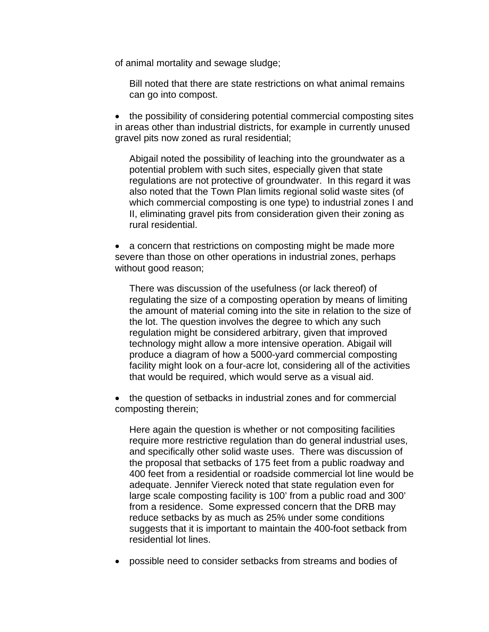of animal mortality and sewage sludge;

Bill noted that there are state restrictions on what animal remains can go into compost.

• the possibility of considering potential commercial composting sites in areas other than industrial districts, for example in currently unused gravel pits now zoned as rural residential;

Abigail noted the possibility of leaching into the groundwater as a potential problem with such sites, especially given that state regulations are not protective of groundwater. In this regard it was also noted that the Town Plan limits regional solid waste sites (of which commercial composting is one type) to industrial zones I and II, eliminating gravel pits from consideration given their zoning as rural residential.

• a concern that restrictions on composting might be made more severe than those on other operations in industrial zones, perhaps without good reason;

There was discussion of the usefulness (or lack thereof) of regulating the size of a composting operation by means of limiting the amount of material coming into the site in relation to the size of the lot. The question involves the degree to which any such regulation might be considered arbitrary, given that improved technology might allow a more intensive operation. Abigail will produce a diagram of how a 5000-yard commercial composting facility might look on a four-acre lot, considering all of the activities that would be required, which would serve as a visual aid.

 the question of setbacks in industrial zones and for commercial composting therein;

Here again the question is whether or not compositing facilities require more restrictive regulation than do general industrial uses, and specifically other solid waste uses. There was discussion of the proposal that setbacks of 175 feet from a public roadway and 400 feet from a residential or roadside commercial lot line would be adequate. Jennifer Viereck noted that state regulation even for large scale composting facility is 100' from a public road and 300' from a residence. Some expressed concern that the DRB may reduce setbacks by as much as 25% under some conditions suggests that it is important to maintain the 400-foot setback from residential lot lines.

possible need to consider setbacks from streams and bodies of